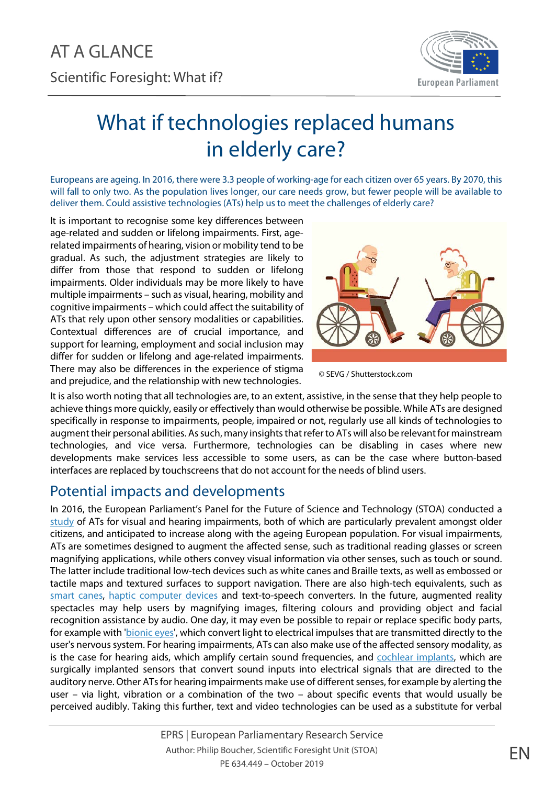

## What if technologies replaced humans in elderly care?

Europeans are ageing. In 2016, there were 3.3 people of working-age for each citizen over 65 years. By 2070, this will fall to only two. As the population lives longer, our care needs grow, but fewer people will be available to deliver them. Could assistive technologies (ATs) help us to meet the challenges of elderly care?

It is important to recognise some key differences between age-related and sudden or lifelong impairments. First, agerelated impairments of hearing, vision or mobility tend to be gradual. As such, the adjustment strategies are likely to differ from those that respond to sudden or lifelong impairments. Older individuals may be more likely to have multiple impairments – such as visual, hearing, mobility and cognitive impairments – which could affect the suitability of ATs that rely upon other sensory modalities or capabilities. Contextual differences are of crucial importance, and support for learning, employment and social inclusion may differ for sudden or lifelong and age-related impairments. There may also be differences in the experience of stigma and prejudice, and the relationship with new technologies.



© SEVG / Shutterstock.com

It is also worth noting that all technologies are, to an extent, assistive, in the sense that they help people to achieve things more quickly, easily or effectively than would otherwise be possible. While ATs are designed specifically in response to impairments, people, impaired or not, regularly use all kinds of technologies to augment their personal abilities. As such, many insights that refer to ATs will also be relevant for mainstream technologies, and vice versa. Furthermore, technologies can be disabling in cases where new developments make services less accessible to some users, as can be the case where button-based interfaces are replaced by touchscreens that do not account for the needs of blind users.

## Potential impacts and developments

In 2016, the European Parliament's Panel for the Future of Science and Technology (STOA) conducted a [study](http://www.europarl.europa.eu/thinktank/en/document.html?reference=EPRS_IDA%282018%29603218) of ATs for visual and hearing impairments, both of which are particularly prevalent amongst older citizens, and anticipated to increase along with the ageing European population. For visual impairments, ATs are sometimes designed to augment the affected sense, such as traditional reading glasses or screen magnifying applications, while others convey visual information via other senses, such as touch or sound. The latter include traditional low-tech devices such as white canes and Braille texts, as well as embossed or tactile maps and textured surfaces to support navigation. There are also high-tech equivalents, such as smart [canes,](https://www.youtube.com/watch?v=cnW1_XMUIzM) [haptic computer devices](https://www.smithsonianmag.com/innovation/heres-what-future-haptic-technology-looks-or-rather-feels-180971097/) and text-to-speech converters. In the future, augmented reality spectacles may help users by magnifying images, filtering colours and providing object and facial recognition assistance by audio. One day, it may even be possible to repair or replace specific body parts, for example with ['bionic](http://theconversation.com/artificial-vision-what-people-with-bionic-eyes-see-79758) eyes', which convert light to electrical impulses that are transmitted directly to the user's nervous system. For hearing impairments, ATs can also make use of the affected sensory modality, as is the case for hearing aids, which amplify certain sound frequencies, and [cochlear implants,](https://www.dhhs.tas.gov.au/service_information/services_files/RHH/treatments_and_services/statewide_audiology_service/cochlear_implant/what_is_a_Cochlear_Implant_and_how_does_it_work) which are surgically implanted sensors that convert sound inputs into electrical signals that are directed to the auditory nerve. Other ATs for hearing impairments make use of different senses, for example by alerting the user – via light, vibration or a combination of the two – about specific events that would usually be perceived audibly. Taking this further, text and video technologies can be used as a substitute for verbal